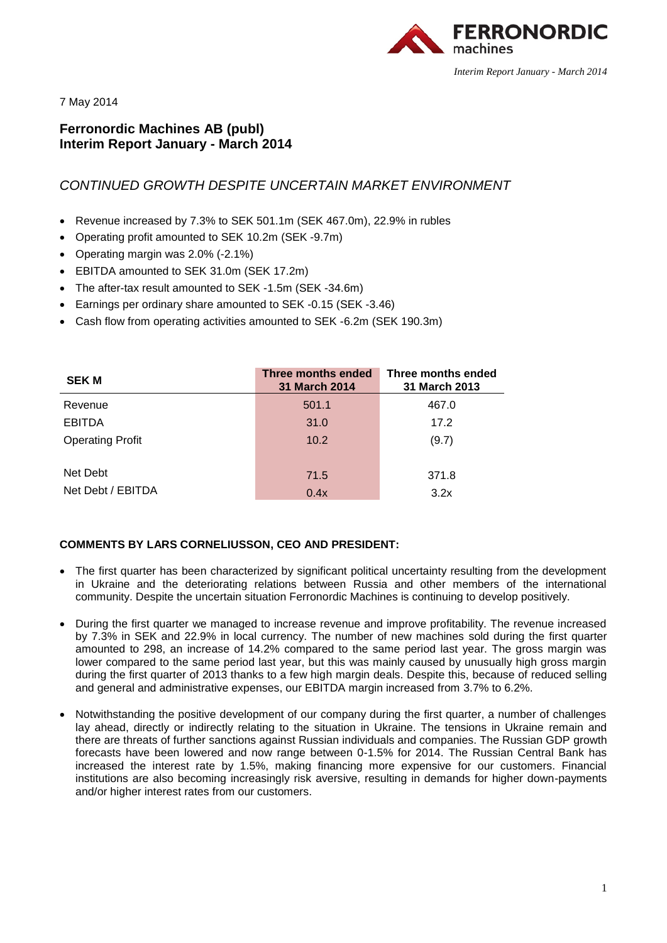

7 May 2014

# **Ferronordic Machines AB (publ) Interim Report January - March 2014**

# *CONTINUED GROWTH DESPITE UNCERTAIN MARKET ENVIRONMENT*

- Revenue increased by 7.3% to SEK 501.1m (SEK 467.0m), 22.9% in rubles
- Operating profit amounted to SEK 10.2m (SEK -9.7m)
- Operating margin was 2.0% (-2.1%)
- EBITDA amounted to SEK 31.0m (SEK 17.2m)
- The after-tax result amounted to SEK -1.5m (SEK -34.6m)
- Earnings per ordinary share amounted to SEK -0.15 (SEK -3.46)
- Cash flow from operating activities amounted to SEK -6.2m (SEK 190.3m)

| <b>SEK M</b>            | Three months ended<br><b>31 March 2014</b> | Three months ended<br>31 March 2013 |
|-------------------------|--------------------------------------------|-------------------------------------|
| Revenue                 | 501.1                                      | 467.0                               |
| <b>EBITDA</b>           | 31.0                                       | 17.2                                |
| <b>Operating Profit</b> | 10.2                                       | (9.7)                               |
|                         |                                            |                                     |
| Net Debt                | 71.5                                       | 371.8                               |
| Net Debt / EBITDA       | 0.4x                                       | 3.2x                                |

## **COMMENTS BY LARS CORNELIUSSON, CEO AND PRESIDENT:**

- The first quarter has been characterized by significant political uncertainty resulting from the development in Ukraine and the deteriorating relations between Russia and other members of the international community. Despite the uncertain situation Ferronordic Machines is continuing to develop positively.
- During the first quarter we managed to increase revenue and improve profitability. The revenue increased by 7.3% in SEK and 22.9% in local currency. The number of new machines sold during the first quarter amounted to 298, an increase of 14.2% compared to the same period last year. The gross margin was lower compared to the same period last year, but this was mainly caused by unusually high gross margin during the first quarter of 2013 thanks to a few high margin deals. Despite this, because of reduced selling and general and administrative expenses, our EBITDA margin increased from 3.7% to 6.2%.
- Notwithstanding the positive development of our company during the first quarter, a number of challenges lay ahead, directly or indirectly relating to the situation in Ukraine. The tensions in Ukraine remain and there are threats of further sanctions against Russian individuals and companies. The Russian GDP growth forecasts have been lowered and now range between 0-1.5% for 2014. The Russian Central Bank has increased the interest rate by 1.5%, making financing more expensive for our customers. Financial institutions are also becoming increasingly risk aversive, resulting in demands for higher down-payments and/or higher interest rates from our customers.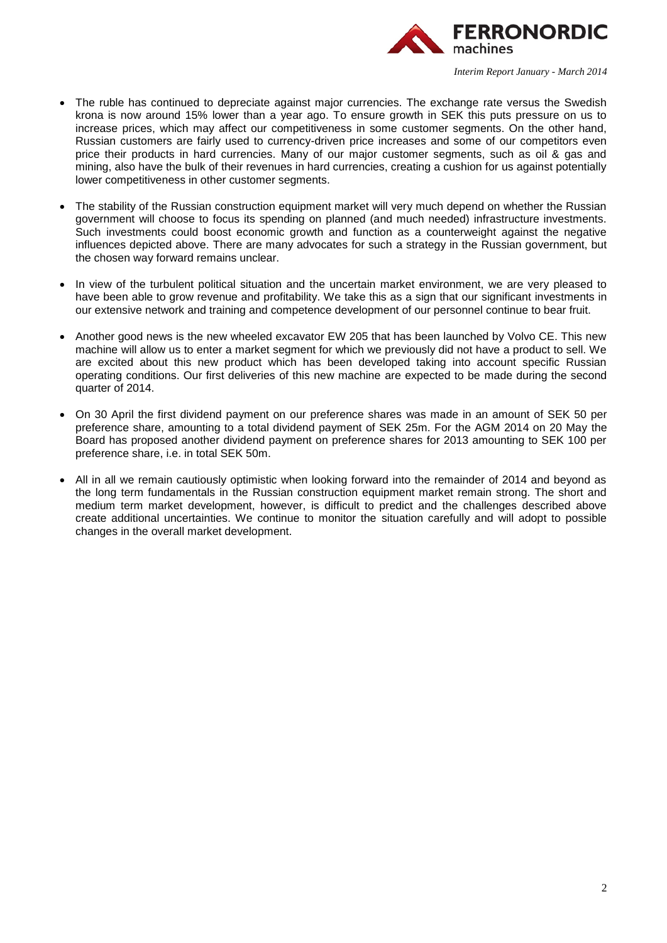

- The ruble has continued to depreciate against major currencies. The exchange rate versus the Swedish krona is now around 15% lower than a year ago. To ensure growth in SEK this puts pressure on us to increase prices, which may affect our competitiveness in some customer segments. On the other hand, Russian customers are fairly used to currency-driven price increases and some of our competitors even price their products in hard currencies. Many of our major customer segments, such as oil & gas and mining, also have the bulk of their revenues in hard currencies, creating a cushion for us against potentially lower competitiveness in other customer segments.
- The stability of the Russian construction equipment market will very much depend on whether the Russian government will choose to focus its spending on planned (and much needed) infrastructure investments. Such investments could boost economic growth and function as a counterweight against the negative influences depicted above. There are many advocates for such a strategy in the Russian government, but the chosen way forward remains unclear.
- In view of the turbulent political situation and the uncertain market environment, we are very pleased to have been able to grow revenue and profitability. We take this as a sign that our significant investments in our extensive network and training and competence development of our personnel continue to bear fruit.
- Another good news is the new wheeled excavator EW 205 that has been launched by Volvo CE. This new machine will allow us to enter a market segment for which we previously did not have a product to sell. We are excited about this new product which has been developed taking into account specific Russian operating conditions. Our first deliveries of this new machine are expected to be made during the second quarter of 2014.
- On 30 April the first dividend payment on our preference shares was made in an amount of SEK 50 per preference share, amounting to a total dividend payment of SEK 25m. For the AGM 2014 on 20 May the Board has proposed another dividend payment on preference shares for 2013 amounting to SEK 100 per preference share, i.e. in total SEK 50m.
- All in all we remain cautiously optimistic when looking forward into the remainder of 2014 and beyond as the long term fundamentals in the Russian construction equipment market remain strong. The short and medium term market development, however, is difficult to predict and the challenges described above create additional uncertainties. We continue to monitor the situation carefully and will adopt to possible changes in the overall market development.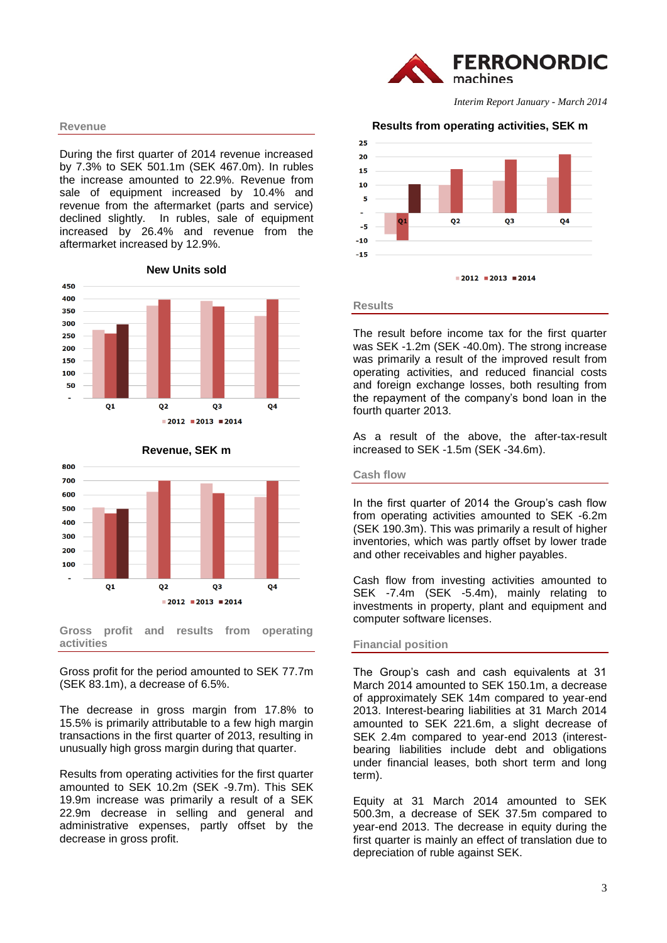#### **Revenue**

During the first quarter of 2014 revenue increased by 7.3% to SEK 501.1m (SEK 467.0m). In rubles the increase amounted to 22.9%. Revenue from sale of equipment increased by 10.4% and revenue from the aftermarket (parts and service) declined slightly. In rubles, sale of equipment increased by 26.4% and revenue from the aftermarket increased by 12.9%.





# **Revenue, SEK m**

**Gross profit and results from operating activities**

Gross profit for the period amounted to SEK 77.7m (SEK 83.1m), a decrease of 6.5%.

The decrease in gross margin from 17.8% to 15.5% is primarily attributable to a few high margin transactions in the first quarter of 2013, resulting in unusually high gross margin during that quarter.

Results from operating activities for the first quarter amounted to SEK 10.2m (SEK -9.7m). This SEK 19.9m increase was primarily a result of a SEK 22.9m decrease in selling and general and administrative expenses, partly offset by the decrease in gross profit.



*Interim Report January - March 2014*

#### **Results from operating activities, SEK m**



**Results** 

The result before income tax for the first quarter was SEK -1.2m (SEK -40.0m). The strong increase was primarily a result of the improved result from operating activities, and reduced financial costs and foreign exchange losses, both resulting from the repayment of the company's bond loan in the fourth quarter 2013.

As a result of the above, the after-tax-result increased to SEK -1.5m (SEK -34.6m).

#### **Cash flow**

In the first quarter of 2014 the Group's cash flow from operating activities amounted to SEK -6.2m (SEK 190.3m). This was primarily a result of higher inventories, which was partly offset by lower trade and other receivables and higher payables.

Cash flow from investing activities amounted to SEK -7.4m (SEK -5.4m), mainly relating to investments in property, plant and equipment and computer software licenses.

### **Financial position**

The Group's cash and cash equivalents at 31 March 2014 amounted to SEK 150.1m, a decrease of approximately SEK 14m compared to year-end 2013. Interest-bearing liabilities at 31 March 2014 amounted to SEK 221.6m, a slight decrease of SEK 2.4m compared to year-end 2013 (interestbearing liabilities include debt and obligations under financial leases, both short term and long term).

Equity at 31 March 2014 amounted to SEK 500.3m, a decrease of SEK 37.5m compared to year-end 2013. The decrease in equity during the first quarter is mainly an effect of translation due to depreciation of ruble against SEK.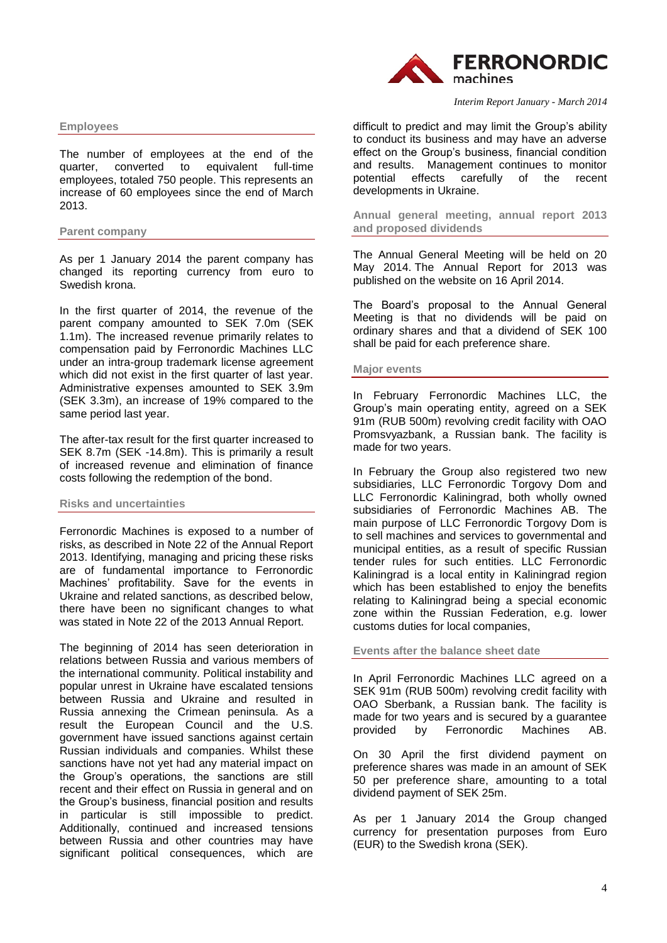

#### **Employees**

The number of employees at the end of the quarter, converted to equivalent full-time quarter, converted to equivalent full-time employees, totaled 750 people. This represents an increase of 60 employees since the end of March 2013.

### **Parent company**

As per 1 January 2014 the parent company has changed its reporting currency from euro to Swedish krona.

In the first quarter of 2014, the revenue of the parent company amounted to SEK 7.0m (SEK 1.1m). The increased revenue primarily relates to compensation paid by Ferronordic Machines LLC under an intra-group trademark license agreement which did not exist in the first quarter of last year. Administrative expenses amounted to SEK 3.9m (SEK 3.3m), an increase of 19% compared to the same period last year.

The after-tax result for the first quarter increased to SEK 8.7m (SEK -14.8m). This is primarily a result of increased revenue and elimination of finance costs following the redemption of the bond.

### **Risks and uncertainties**

Ferronordic Machines is exposed to a number of risks, as described in Note 22 of the Annual Report 2013. Identifying, managing and pricing these risks are of fundamental importance to Ferronordic Machines' profitability. Save for the events in Ukraine and related sanctions, as described below, there have been no significant changes to what was stated in Note 22 of the 2013 Annual Report.

The beginning of 2014 has seen deterioration in relations between Russia and various members of the international community. Political instability and popular unrest in Ukraine have escalated tensions between Russia and Ukraine and resulted in Russia annexing the Crimean peninsula. As a result the European Council and the U.S. government have issued sanctions against certain Russian individuals and companies. Whilst these sanctions have not yet had any material impact on the Group's operations, the sanctions are still recent and their effect on Russia in general and on the Group's business, financial position and results in particular is still impossible to predict. Additionally, continued and increased tensions between Russia and other countries may have significant political consequences, which are

*Interim Report January - March 2014*

difficult to predict and may limit the Group's ability to conduct its business and may have an adverse effect on the Group's business, financial condition and results. Management continues to monitor<br>potential effects carefully of the recent potential effects carefully of the recent developments in Ukraine.

**Annual general meeting, annual report 2013 and proposed dividends**

The Annual General Meeting will be held on 20 May 2014. The Annual Report for 2013 was published on the website on 16 April 2014.

The Board's proposal to the Annual General Meeting is that no dividends will be paid on ordinary shares and that a dividend of SEK 100 shall be paid for each preference share.

#### **Major events**

In February Ferronordic Machines LLC, the Group's main operating entity, agreed on a SEK 91m (RUB 500m) revolving credit facility with OAO Promsvyazbank, a Russian bank. The facility is made for two years.

In February the Group also registered two new subsidiaries, LLC Ferronordic Torgovy Dom and LLC Ferronordic Kaliningrad, both wholly owned subsidiaries of Ferronordic Machines AB. The main purpose of LLC Ferronordic Torgovy Dom is to sell machines and services to governmental and municipal entities, as a result of specific Russian tender rules for such entities. LLC Ferronordic Kaliningrad is a local entity in Kaliningrad region which has been established to enjoy the benefits relating to Kaliningrad being a special economic zone within the Russian Federation, e.g. lower customs duties for local companies,

**Events after the balance sheet date**

In April Ferronordic Machines LLC agreed on a SEK 91m (RUB 500m) revolving credit facility with OAO Sberbank, a Russian bank. The facility is made for two years and is secured by a guarantee<br>provided by Ferronordic Machines AB. provided by Ferronordic Machines AB.

On 30 April the first dividend payment on preference shares was made in an amount of SEK 50 per preference share, amounting to a total dividend payment of SEK 25m.

As per 1 January 2014 the Group changed currency for presentation purposes from Euro (EUR) to the Swedish krona (SEK).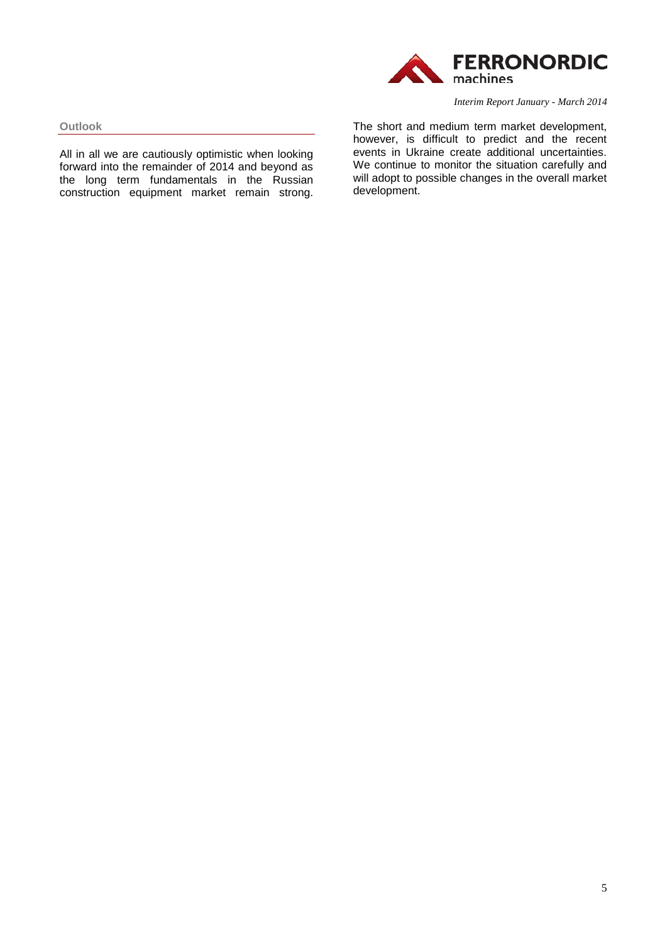

**Outlook**

All in all we are cautiously optimistic when looking forward into the remainder of 2014 and beyond as the long term fundamentals in the Russian construction equipment market remain strong. *Interim Report January - March 2014*

The short and medium term market development, however, is difficult to predict and the recent events in Ukraine create additional uncertainties. We continue to monitor the situation carefully and will adopt to possible changes in the overall market development.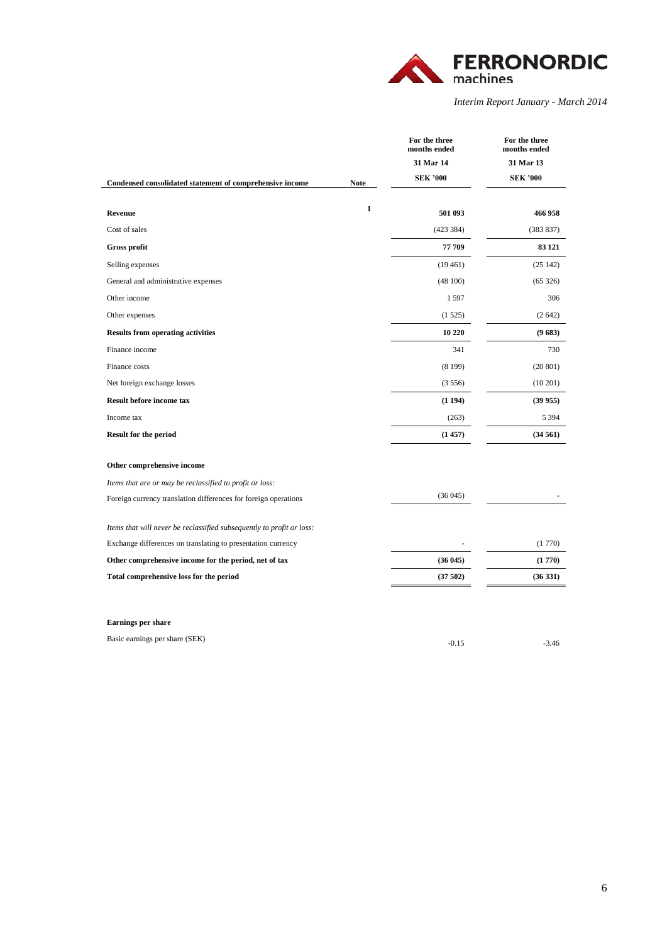

|                                                                       |              | For the three<br>months ended | For the three<br>months ended |
|-----------------------------------------------------------------------|--------------|-------------------------------|-------------------------------|
|                                                                       |              | 31 Mar 14                     | 31 Mar 13                     |
| Condensed consolidated statement of comprehensive income              | <b>Note</b>  | <b>SEK '000</b>               | <b>SEK '000</b>               |
| Revenue                                                               | $\mathbf{1}$ | 501 093                       | 466 958                       |
| Cost of sales                                                         |              | (423 384)                     | (383 837)                     |
| Gross profit                                                          |              | 77 709                        | 83 121                        |
| Selling expenses                                                      |              | (19461)                       | (25142)                       |
| General and administrative expenses                                   |              | (48100)                       | (65326)                       |
| Other income                                                          |              | 1597                          | 306                           |
| Other expenses                                                        |              | (1525)                        | (2642)                        |
| <b>Results from operating activities</b>                              |              | 10 220                        | (9683)                        |
| Finance income                                                        |              | 341                           | 730                           |
| Finance costs                                                         |              | (8199)                        | (20801)                       |
| Net foreign exchange losses                                           |              | (3556)                        | $(10\ 201)$                   |
| Result before income tax                                              |              | (1194)                        | (39955)                       |
| Income tax                                                            |              | (263)                         | 5 3 9 4                       |
| <b>Result for the period</b>                                          |              | (1457)                        | (34561)                       |
| Other comprehensive income                                            |              |                               |                               |
| Items that are or may be reclassified to profit or loss:              |              |                               |                               |
| Foreign currency translation differences for foreign operations       |              | (36045)                       |                               |
| Items that will never be reclassified subsequently to profit or loss: |              |                               |                               |
| Exchange differences on translating to presentation currency          |              |                               | (1770)                        |
| Other comprehensive income for the period, net of tax                 |              | (36045)                       | (1770)                        |
| Total comprehensive loss for the period                               |              | (37502)                       | (36331)                       |
|                                                                       |              |                               |                               |
| <b>Earnings per share</b>                                             |              |                               |                               |
| Basic earnings per share (SEK)                                        |              | $-0.15$                       | $-3.46$                       |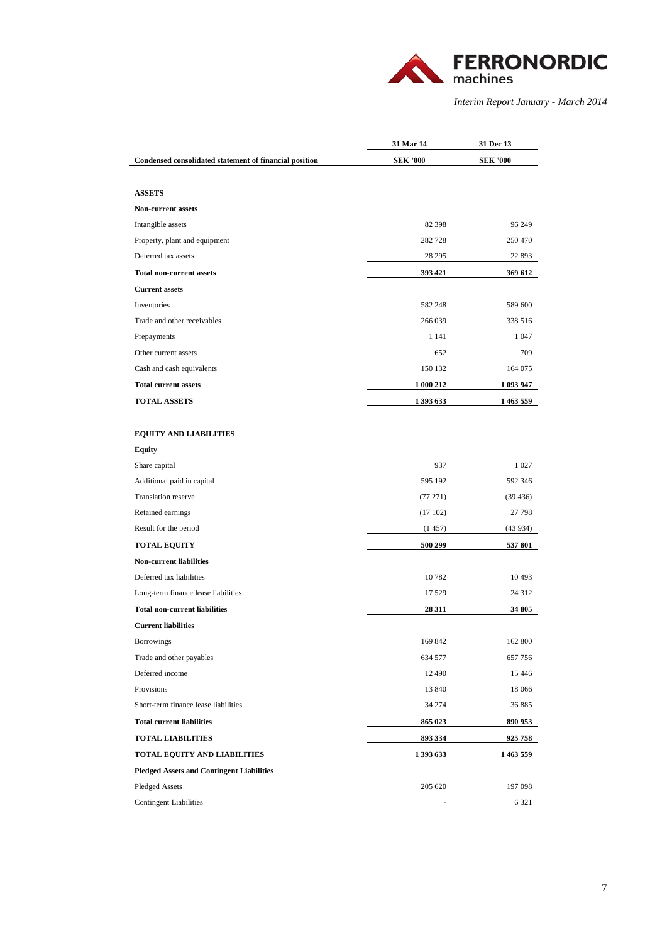

|                                                        | 31 Mar 14       | 31 Dec 13 |
|--------------------------------------------------------|-----------------|-----------|
| Condensed consolidated statement of financial position | <b>SEK '000</b> | SEK '000  |
|                                                        |                 |           |
| <b>ASSETS</b>                                          |                 |           |
| <b>Non-current assets</b>                              |                 |           |
| Intangible assets                                      | 82 398          | 96 249    |
| Property, plant and equipment                          | 282 728         | 250 470   |
| Deferred tax assets                                    | 28 29 5         | 22 893    |
| <b>Total non-current assets</b>                        | 393 421         | 369 612   |
| <b>Current assets</b>                                  |                 |           |
| Inventories                                            | 582 248         | 589 600   |
| Trade and other receivables                            | 266 039         | 338 516   |
| Prepayments                                            | 1 1 4 1         | 1 0 4 7   |
| Other current assets                                   | 652             | 709       |
| Cash and cash equivalents                              | 150 132         | 164 075   |
| <b>Total current assets</b>                            | 1 000 212       | 1 093 947 |
| <b>TOTAL ASSETS</b>                                    | 1 393 633       | 1 463 559 |
|                                                        |                 |           |
| <b>EQUITY AND LIABILITIES</b>                          |                 |           |
| <b>Equity</b>                                          |                 |           |
| Share capital                                          | 937             | 1 0 2 7   |
| Additional paid in capital                             | 595 192         | 592 346   |
| Translation reserve                                    | (77271)         | (39 436)  |
| Retained earnings                                      | (17102)         | 27 798    |
| Result for the period                                  | (1457)          | (43 934)  |
| <b>TOTAL EQUITY</b>                                    | 500 299         | 537 801   |
| <b>Non-current liabilities</b>                         |                 |           |
| Deferred tax liabilities                               | 10782           | 10 4 93   |
| Long-term finance lease liabilities                    | 17 529          | 24 312    |
| <b>Total non-current liabilities</b>                   | 28 311          | 34 805    |
| <b>Current liabilities</b>                             |                 |           |
| Borrowings                                             | 169 842         | 162 800   |
| Trade and other payables                               | 634 577         | 657 756   |
| Deferred income                                        | 12 490          | 15 4 46   |
| Provisions                                             | 13 840          | 18 066    |
| Short-term finance lease liabilities                   | 34 274          | 36 885    |
| <b>Total current liabilities</b>                       | 865 023         | 890 953   |
| <b>TOTAL LIABILITIES</b>                               | 893 334         | 925 758   |
| TOTAL EQUITY AND LIABILITIES                           | 1 393 633       | 1 463 559 |
| <b>Pledged Assets and Contingent Liabilities</b>       |                 |           |
| Pledged Assets                                         | 205 620         | 197 098   |
| <b>Contingent Liabilities</b>                          |                 | 6 3 2 1   |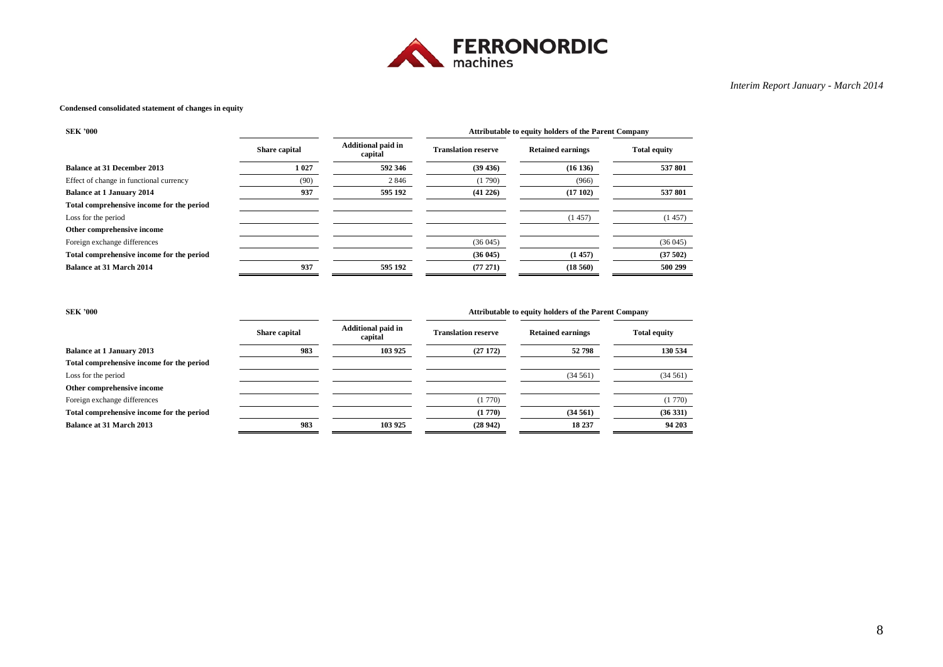

#### **Condensed consolidated statement of changes in equity**

| <b>SEK '000</b>                           |               | Attributable to equity holders of the Parent Company |                            |                          |                     |
|-------------------------------------------|---------------|------------------------------------------------------|----------------------------|--------------------------|---------------------|
|                                           | Share capital | <b>Additional paid in</b><br>capital                 | <b>Translation reserve</b> | <b>Retained earnings</b> | <b>Total equity</b> |
| <b>Balance at 31 December 2013</b>        | 1 0 27        | 592 346                                              | (39 436)                   | (16136)                  | 537 801             |
| Effect of change in functional currency   | (90)          | 2846                                                 | (1790)                     | (966)                    |                     |
| <b>Balance at 1 January 2014</b>          | 937           | 595 192                                              | (41 226)                   | (17102)                  | 537 801             |
| Total comprehensive income for the period |               |                                                      |                            |                          |                     |
| Loss for the period                       |               |                                                      |                            | (1457)                   | (1457)              |
| Other comprehensive income                |               |                                                      |                            |                          |                     |
| Foreign exchange differences              |               |                                                      | (36045)                    |                          | (36045)             |
| Total comprehensive income for the period |               |                                                      | (36045)                    | (1457)                   | (37502)             |
| <b>Balance at 31 March 2014</b>           | 937           | 595 192                                              | (77271)                    | (18, 560)                | 500 299             |

**SEK '000 Attributable to equity holders of the Parent Company**

|                                           | Share capital | <b>Additional paid in</b><br>capital | <b>Translation reserve</b> | <b>Retained earnings</b> | <b>Total equity</b> |
|-------------------------------------------|---------------|--------------------------------------|----------------------------|--------------------------|---------------------|
| <b>Balance at 1 January 2013</b>          | 983           | 103 925                              | (27172)                    | 52798                    | 130 534             |
| Total comprehensive income for the period |               |                                      |                            |                          |                     |
| Loss for the period                       |               |                                      |                            | (34.561)                 | (34561)             |
| Other comprehensive income                |               |                                      |                            |                          |                     |
| Foreign exchange differences              |               |                                      | (1770)                     |                          | (1770)              |
| Total comprehensive income for the period |               |                                      | (1770)                     | (34561)                  | (36331)             |
| <b>Balance at 31 March 2013</b>           | 983           | 103 925                              | (28942)                    | 18 237                   | 94 203              |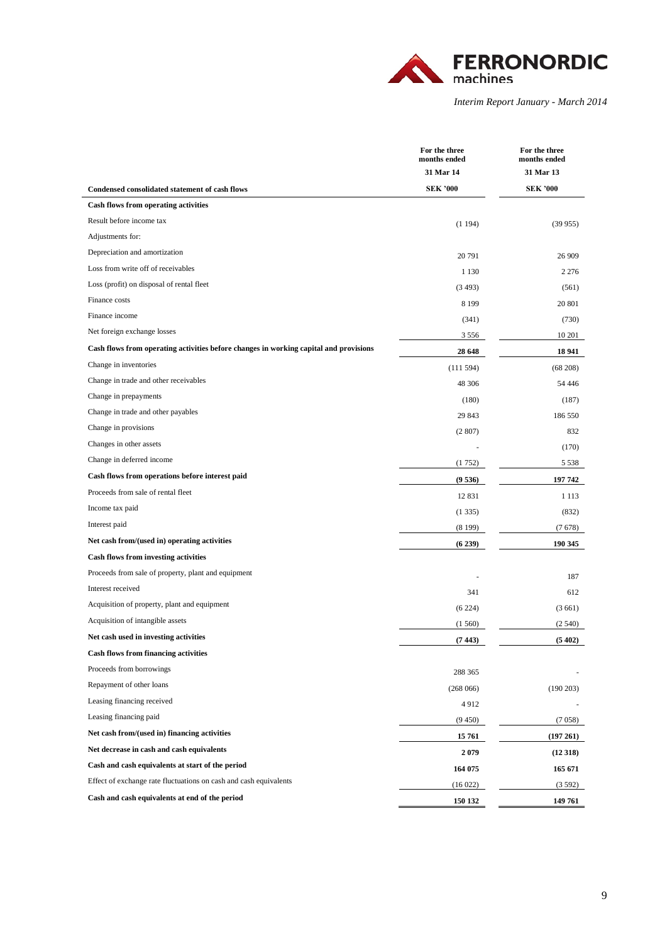

|                                                                                       | For the three<br>months ended | For the three<br>months ended |
|---------------------------------------------------------------------------------------|-------------------------------|-------------------------------|
|                                                                                       | 31 Mar 14                     | 31 Mar 13                     |
| <b>Condensed consolidated statement of cash flows</b>                                 | <b>SEK '000</b>               | <b>SEK '000</b>               |
| <b>Cash flows from operating activities</b>                                           |                               |                               |
| Result before income tax                                                              | (1194)                        | (39955)                       |
| Adjustments for:                                                                      |                               |                               |
| Depreciation and amortization                                                         | 20 791                        | 26 909                        |
| Loss from write off of receivables                                                    | 1 1 3 0                       | 2 2 7 6                       |
| Loss (profit) on disposal of rental fleet                                             | (3493)                        | (561)                         |
| Finance costs                                                                         | 8 1 9 9                       | 20 801                        |
| Finance income                                                                        | (341)                         | (730)                         |
| Net foreign exchange losses                                                           | 3 5 5 6                       | 10 201                        |
| Cash flows from operating activities before changes in working capital and provisions | 28 648                        | 18 941                        |
| Change in inventories                                                                 | (111594)                      | $(68\ 208)$                   |
| Change in trade and other receivables                                                 | 48 30 6                       | 54 44 6                       |
| Change in prepayments                                                                 | (180)                         | (187)                         |
| Change in trade and other payables                                                    | 29 843                        | 186 550                       |
| Change in provisions                                                                  | (2807)                        | 832                           |
| Changes in other assets                                                               |                               | (170)                         |
| Change in deferred income                                                             | (1752)                        | 5 5 3 8                       |
| Cash flows from operations before interest paid                                       | (9536)                        | 197 742                       |
| Proceeds from sale of rental fleet                                                    | 12 831                        | 1 1 1 3                       |
| Income tax paid                                                                       | (1335)                        | (832)                         |
| Interest paid                                                                         | (8199)                        | (7678)                        |
| Net cash from/(used in) operating activities                                          | (6239)                        | 190 345                       |
| <b>Cash flows from investing activities</b>                                           |                               |                               |
| Proceeds from sale of property, plant and equipment                                   |                               | 187                           |
| Interest received                                                                     | 341                           | 612                           |
| Acquisition of property, plant and equipment                                          | (6224)                        | (3661)                        |
| Acquisition of intangible assets                                                      | (1560)                        | (2540)                        |
| Net cash used in investing activities                                                 | (7443)                        | (5402)                        |
| <b>Cash flows from financing activities</b>                                           |                               |                               |
| Proceeds from borrowings                                                              | 288 365                       |                               |
| Repayment of other loans                                                              | (268066)                      | (190 203)                     |
| Leasing financing received                                                            | 4912                          |                               |
| Leasing financing paid                                                                | (9450)                        | (7058)                        |
| Net cash from/(used in) financing activities                                          | 15 761                        | (197 261)                     |
| Net decrease in cash and cash equivalents                                             | 2079                          | (12318)                       |
| Cash and cash equivalents at start of the period                                      | 164 075                       | 165 671                       |
| Effect of exchange rate fluctuations on cash and cash equivalents                     | (16022)                       | (3.592)                       |
| Cash and cash equivalents at end of the period                                        | 150 132                       | 149 761                       |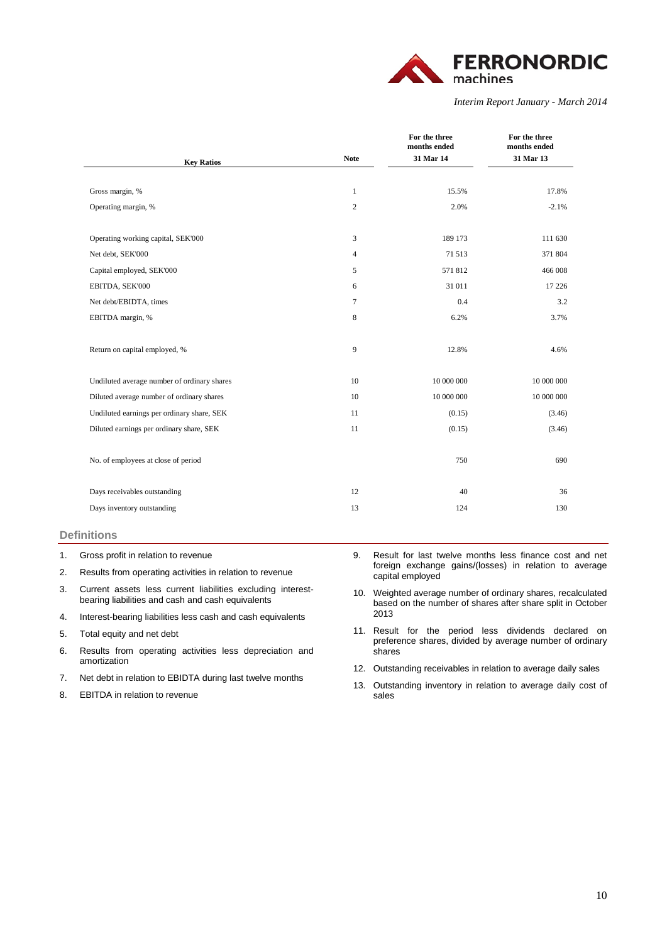

|                                             |                | For the three<br>months ended | For the three<br>months ended |
|---------------------------------------------|----------------|-------------------------------|-------------------------------|
| <b>Key Ratios</b>                           | <b>Note</b>    | 31 Mar 14                     | 31 Mar 13                     |
|                                             |                |                               |                               |
| Gross margin, %                             | 1              | 15.5%                         | 17.8%                         |
| Operating margin, %                         | $\overline{c}$ | 2.0%                          | $-2.1%$                       |
|                                             |                |                               |                               |
| Operating working capital, SEK'000          | 3              | 189 173                       | 111 630                       |
| Net debt, SEK'000                           | 4              | 71 513                        | 371 804                       |
| Capital employed, SEK'000                   | 5              | 571812                        | 466 008                       |
| EBITDA, SEK'000                             | 6              | 31 011                        | 17 226                        |
| Net debt/EBIDTA, times                      | 7              | 0.4                           | 3.2                           |
| EBITDA margin, %                            | 8              | 6.2%                          | 3.7%                          |
|                                             |                |                               |                               |
| Return on capital employed, %               | 9              | 12.8%                         | 4.6%                          |
|                                             |                |                               |                               |
| Undiluted average number of ordinary shares | 10             | 10 000 000                    | 10 000 000                    |
| Diluted average number of ordinary shares   | 10             | 10 000 000                    | 10 000 000                    |
| Undiluted earnings per ordinary share, SEK  | 11             | (0.15)                        | (3.46)                        |
| Diluted earnings per ordinary share, SEK    | 11             | (0.15)                        | (3.46)                        |
|                                             |                |                               |                               |
| No. of employees at close of period         |                | 750                           | 690                           |
|                                             |                |                               |                               |
| Days receivables outstanding                | 12             | 40                            | 36                            |
| Days inventory outstanding                  | 13             | 124                           | 130                           |
|                                             |                |                               |                               |

### **Definitions**

- 2. Results from operating activities in relation to revenue
- 3. Current assets less current liabilities excluding interestbearing liabilities and cash and cash equivalents
- 4. Interest-bearing liabilities less cash and cash equivalents
- 5. Total equity and net debt
- 6. Results from operating activities less depreciation and amortization
- 7. Net debt in relation to EBIDTA during last twelve months
- 8. EBITDA in relation to revenue
- 9. Result for last twelve months less finance cost and net foreign exchange gains/(losses) in relation to average capital employed
- 10. Weighted average number of ordinary shares, recalculated based on the number of shares after share split in October 2013
- 11. Result for the period less dividends declared on preference shares, divided by average number of ordinary shares
- 12. Outstanding receivables in relation to average daily sales
- 13. Outstanding inventory in relation to average daily cost of sales

<sup>1.</sup> Gross profit in relation to revenue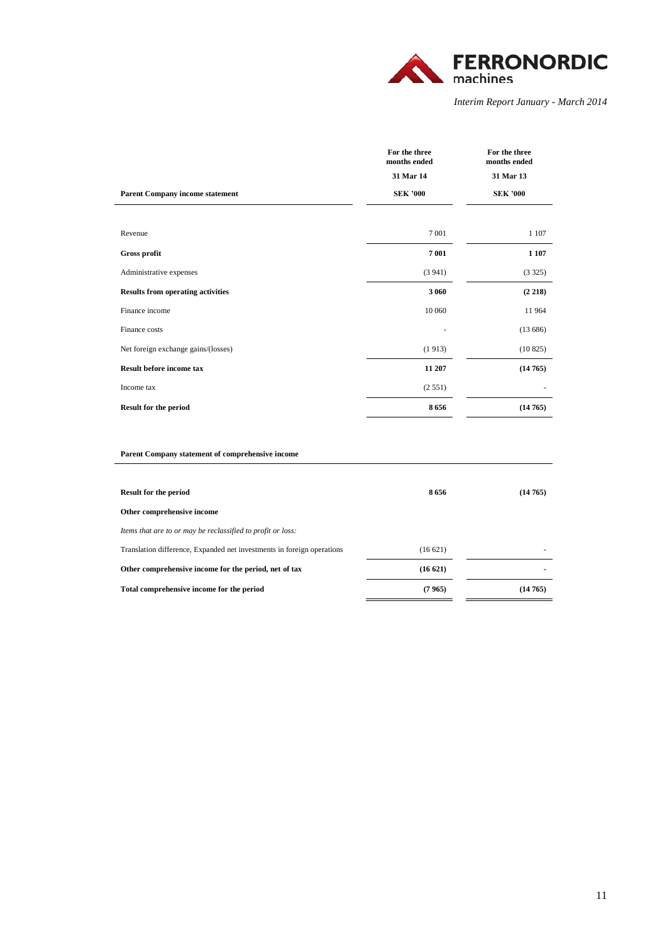

|                                          | For the three<br>months ended | For the three<br>months ended |
|------------------------------------------|-------------------------------|-------------------------------|
|                                          | 31 Mar 14                     | 31 Mar 13                     |
| <b>Parent Company income statement</b>   | <b>SEK '000</b>               | <b>SEK '000</b>               |
|                                          |                               |                               |
| Revenue                                  | 7 0 0 1                       | 1 1 0 7                       |
| Gross profit                             | 7 001                         | 1 1 0 7                       |
| Administrative expenses                  | (3941)                        | (3325)                        |
| <b>Results from operating activities</b> | 3 0 6 0                       | (2 218)                       |
| Finance income                           | 10 060                        | 11964                         |
| Finance costs                            |                               | (13686)                       |
| Net foreign exchange gains/(losses)      | (1913)                        | (10825)                       |
| <b>Result before income tax</b>          | 11 207                        | (14765)                       |
| Income tax                               | (2551)                        | $\overline{\phantom{a}}$      |
| <b>Result for the period</b>             | 8656                          | (14765)                       |
|                                          |                               |                               |

### **Parent Company statement of comprehensive income**

| <b>Result for the period</b>                                           | 8656    | (14765)        |
|------------------------------------------------------------------------|---------|----------------|
| Other comprehensive income                                             |         |                |
| Items that are to or may be reclassified to profit or loss:            |         |                |
| Translation difference, Expanded net investments in foreign operations | (16621) | -              |
| Other comprehensive income for the period, net of tax                  | (16621) | $\blacksquare$ |
| Total comprehensive income for the period                              | (7965)  | (14765)        |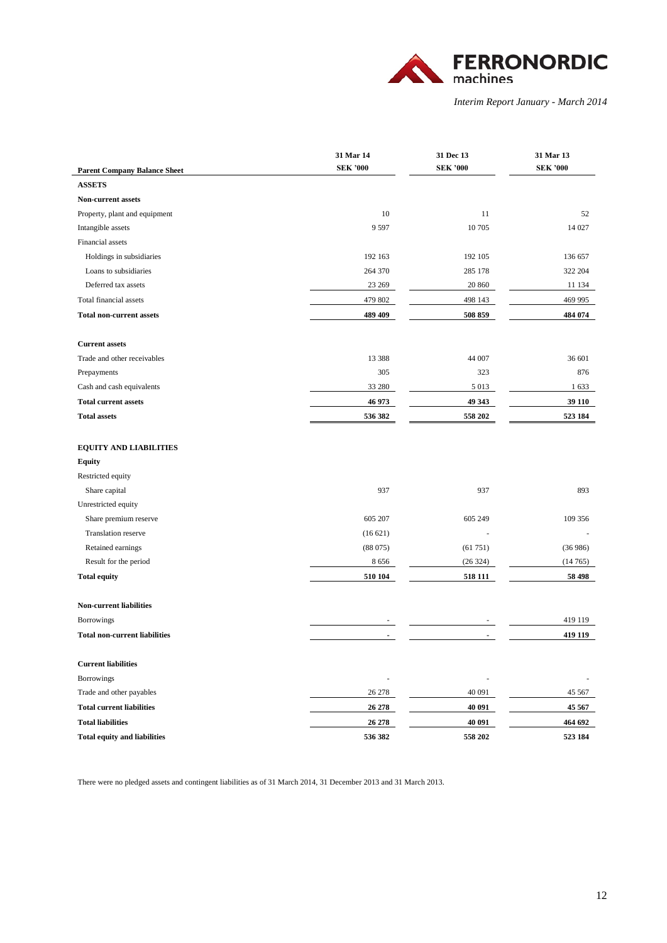

| <b>Parent Company Balance Sheet</b>  | 31 Mar 14<br><b>SEK '000</b> | 31 Dec 13<br><b>SEK '000</b> | 31 Mar 13<br><b>SEK '000</b> |
|--------------------------------------|------------------------------|------------------------------|------------------------------|
| <b>ASSETS</b>                        |                              |                              |                              |
| Non-current assets                   |                              |                              |                              |
| Property, plant and equipment        | 10                           | 11                           | 52                           |
| Intangible assets                    | 9597                         | 10 705                       | 14 027                       |
| Financial assets                     |                              |                              |                              |
| Holdings in subsidiaries             | 192 163                      | 192 105                      | 136 657                      |
| Loans to subsidiaries                | 264 370                      | 285 178                      | 322 204                      |
| Deferred tax assets                  | 23 269                       | 20 860                       | 11 134                       |
| Total financial assets               | 479 802                      | 498 143                      | 469 995                      |
| <b>Total non-current assets</b>      | 489 409                      | 508 859                      | 484 074                      |
| <b>Current assets</b>                |                              |                              |                              |
| Trade and other receivables          | 13 3 8 8                     | 44 007                       | 36 601                       |
| Prepayments                          | 305                          | 323                          | 876                          |
| Cash and cash equivalents            | 33 280                       | 5 0 1 3                      | 1 633                        |
| <b>Total current assets</b>          | 46 973                       | 49 343                       | 39 110                       |
| <b>Total assets</b>                  | 536 382                      | 558 202                      | 523 184                      |
| <b>EQUITY AND LIABILITIES</b>        |                              |                              |                              |
| Equity                               |                              |                              |                              |
| Restricted equity                    |                              |                              |                              |
| Share capital                        | 937                          | 937                          | 893                          |
| Unrestricted equity                  |                              |                              |                              |
| Share premium reserve                | 605 207                      | 605 249                      | 109 356                      |
| <b>Translation reserve</b>           | (16621)                      | ä,                           |                              |
| Retained earnings                    | (88075)                      | (61751)                      | (36986)                      |
| Result for the period                | 8656                         | (26 324)                     | (14765)                      |
| <b>Total equity</b>                  | 510 104                      | 518 111                      | 58 498                       |
| <b>Non-current liabilities</b>       |                              |                              |                              |
| <b>Borrowings</b>                    |                              |                              | 419 119                      |
| <b>Total non-current liabilities</b> | ٠                            | $\blacksquare$               | 419 119                      |
| <b>Current liabilities</b>           |                              |                              |                              |
| <b>Borrowings</b>                    | ÷,                           | ÷,                           |                              |
| Trade and other payables             | 26 278                       | 40 091                       | 45 567                       |
| <b>Total current liabilities</b>     | 26 278                       | 40 091                       | 45 567                       |
| <b>Total liabilities</b>             | 26 278                       | 40 091                       | 464 692                      |
| <b>Total equity and liabilities</b>  | 536 382                      | 558 202                      | 523 184                      |

There were no pledged assets and contingent liabilities as of 31 March 2014, 31 December 2013 and 31 March 2013.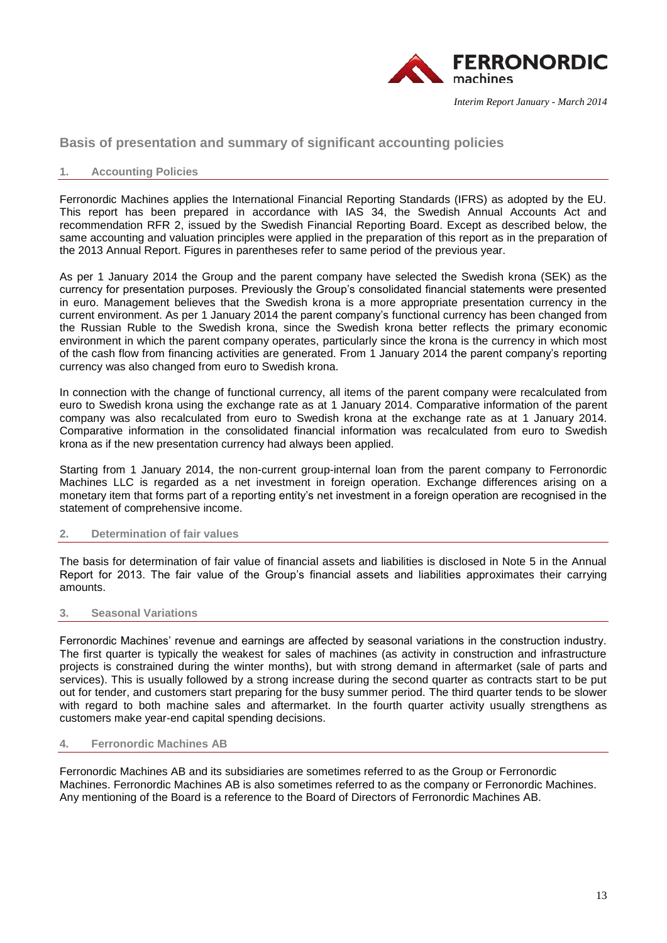

## **Basis of presentation and summary of significant accounting policies**

### **1. Accounting Policies**

Ferronordic Machines applies the International Financial Reporting Standards (IFRS) as adopted by the EU. This report has been prepared in accordance with IAS 34, the Swedish Annual Accounts Act and recommendation RFR 2, issued by the Swedish Financial Reporting Board. Except as described below, the same accounting and valuation principles were applied in the preparation of this report as in the preparation of the 2013 Annual Report. Figures in parentheses refer to same period of the previous year.

As per 1 January 2014 the Group and the parent company have selected the Swedish krona (SEK) as the currency for presentation purposes. Previously the Group's consolidated financial statements were presented in euro. Management believes that the Swedish krona is a more appropriate presentation currency in the current environment. As per 1 January 2014 the parent company's functional currency has been changed from the Russian Ruble to the Swedish krona, since the Swedish krona better reflects the primary economic environment in which the parent company operates, particularly since the krona is the currency in which most of the cash flow from financing activities are generated. From 1 January 2014 the parent company's reporting currency was also changed from euro to Swedish krona.

In connection with the change of functional currency, all items of the parent company were recalculated from euro to Swedish krona using the exchange rate as at 1 January 2014. Comparative information of the parent company was also recalculated from euro to Swedish krona at the exchange rate as at 1 January 2014. Comparative information in the consolidated financial information was recalculated from euro to Swedish krona as if the new presentation currency had always been applied.

Starting from 1 January 2014, the non-current group-internal loan from the parent company to Ferronordic Machines LLC is regarded as a net investment in foreign operation. Exchange differences arising on a monetary item that forms part of a reporting entity's net investment in a foreign operation are recognised in the statement of comprehensive income.

### **2. Determination of fair values**

The basis for determination of fair value of financial assets and liabilities is disclosed in Note 5 in the Annual Report for 2013. The fair value of the Group's financial assets and liabilities approximates their carrying amounts.

### **3. Seasonal Variations**

Ferronordic Machines' revenue and earnings are affected by seasonal variations in the construction industry. The first quarter is typically the weakest for sales of machines (as activity in construction and infrastructure projects is constrained during the winter months), but with strong demand in aftermarket (sale of parts and services). This is usually followed by a strong increase during the second quarter as contracts start to be put out for tender, and customers start preparing for the busy summer period. The third quarter tends to be slower with regard to both machine sales and aftermarket. In the fourth quarter activity usually strengthens as customers make year-end capital spending decisions.

### **4. Ferronordic Machines AB**

Ferronordic Machines AB and its subsidiaries are sometimes referred to as the Group or Ferronordic Machines. Ferronordic Machines AB is also sometimes referred to as the company or Ferronordic Machines. Any mentioning of the Board is a reference to the Board of Directors of Ferronordic Machines AB.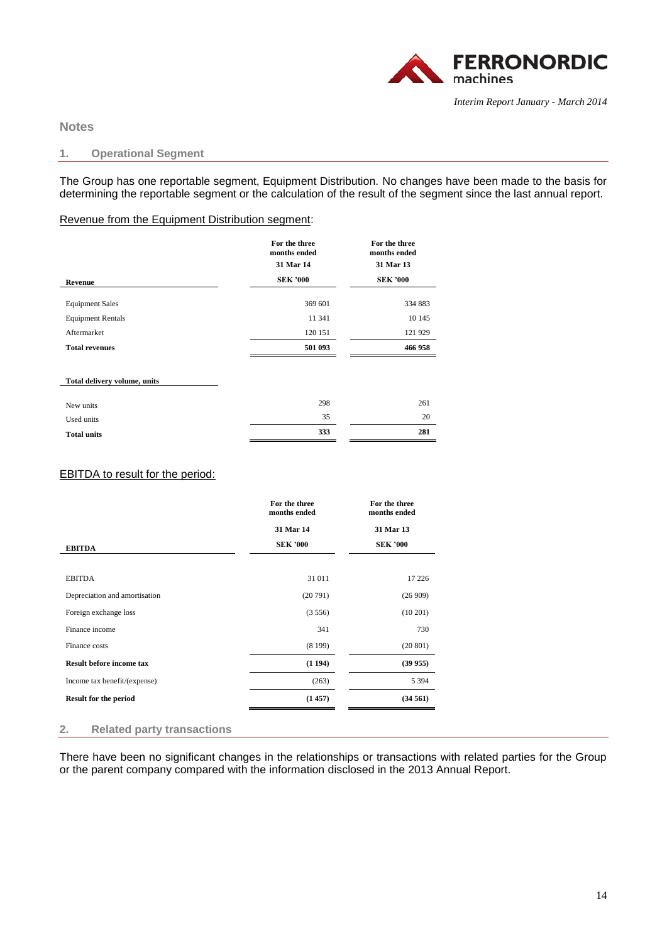

**Notes** 

### **1. Operational Segment**

The Group has one reportable segment, Equipment Distribution. No changes have been made to the basis for determining the reportable segment or the calculation of the result of the segment since the last annual report.

## Revenue from the Equipment Distribution segment:

|                              | For the three<br>months ended | For the three<br>months ended |
|------------------------------|-------------------------------|-------------------------------|
|                              | 31 Mar 14                     | 31 Mar 13                     |
| Revenue                      | <b>SEK '000</b>               | <b>SEK '000</b>               |
| <b>Equipment Sales</b>       | 369 601                       | 334 883                       |
| <b>Equipment Rentals</b>     | 11 341                        | 10 145                        |
| Aftermarket                  | 120 151                       | 121 929                       |
| <b>Total revenues</b>        | 501 093                       | 466 958                       |
| Total delivery volume, units |                               |                               |
| New units                    | 298                           | 261                           |
| Used units                   | 35                            | 20                            |
| <b>Total units</b>           | 333                           | 281                           |

## EBITDA to result for the period:

|                                 | For the three<br>months ended | For the three<br>months ended |
|---------------------------------|-------------------------------|-------------------------------|
|                                 | 31 Mar 14                     | 31 Mar 13                     |
| <b>EBITDA</b>                   | <b>SEK '000</b>               | <b>SEK '000</b>               |
|                                 |                               |                               |
| <b>EBITDA</b>                   | 31 011                        | 17 226                        |
| Depreciation and amortisation   | (20791)                       | (26909)                       |
| Foreign exchange loss           | (3556)                        | $(10\ 201)$                   |
| Finance income                  | 341                           | 730                           |
| Finance costs                   | (8199)                        | (20801)                       |
| <b>Result before income tax</b> | (1194)                        | (39955)                       |
| Income tax benefit/(expense)    | (263)                         | 5 3 9 4                       |
| <b>Result for the period</b>    | (1457)                        | (34561)                       |

### **2. Related party transactions**

There have been no significant changes in the relationships or transactions with related parties for the Group or the parent company compared with the information disclosed in the 2013 Annual Report.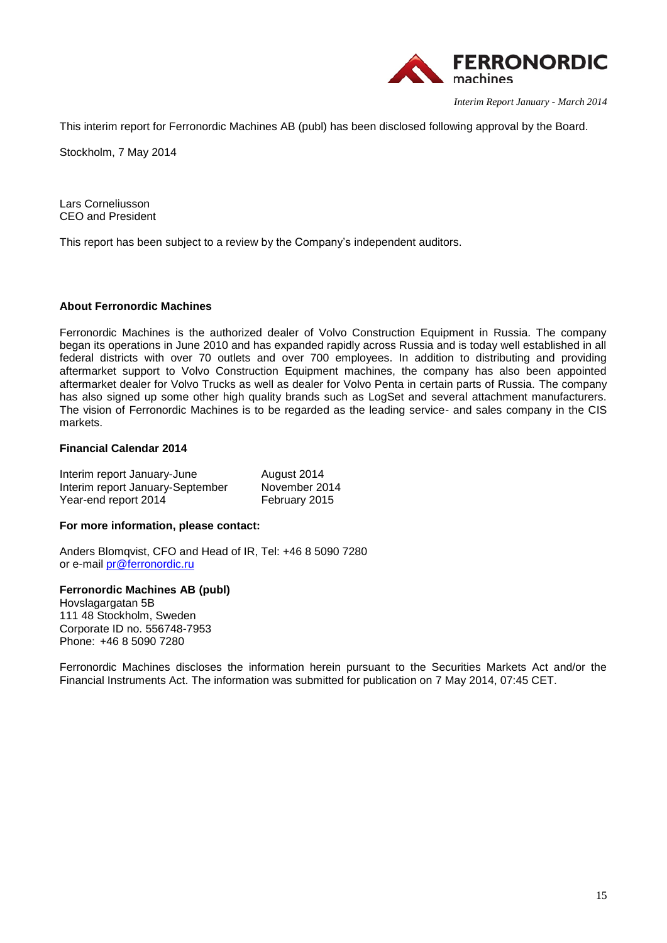

This interim report for Ferronordic Machines AB (publ) has been disclosed following approval by the Board.

Stockholm, 7 May 2014

Lars Corneliusson CEO and President

This report has been subject to a review by the Company's independent auditors.

### **About Ferronordic Machines**

Ferronordic Machines is the authorized dealer of Volvo Construction Equipment in Russia. The company began its operations in June 2010 and has expanded rapidly across Russia and is today well established in all federal districts with over 70 outlets and over 700 employees. In addition to distributing and providing aftermarket support to Volvo Construction Equipment machines, the company has also been appointed aftermarket dealer for Volvo Trucks as well as dealer for Volvo Penta in certain parts of Russia. The company has also signed up some other high quality brands such as LogSet and several attachment manufacturers. The vision of Ferronordic Machines is to be regarded as the leading service- and sales company in the CIS markets.

### **Financial Calendar 2014**

| Interim report January-June      | August 2014   |
|----------------------------------|---------------|
| Interim report January-September | November 2014 |
| Year-end report 2014             | February 2015 |

### **For more information, please contact:**

Anders Blomqvist, CFO and Head of IR, Tel: +46 8 5090 7280 or e-mail [pr@ferronordic.ru](mailto:pr@ferronordic.ru)

### **Ferronordic Machines AB (publ)**

Hovslagargatan 5B 111 48 Stockholm, Sweden Corporate ID no. 556748-7953 Phone: +46 8 5090 7280

Ferronordic Machines discloses the information herein pursuant to the Securities Markets Act and/or the Financial Instruments Act. The information was submitted for publication on 7 May 2014, 07:45 CET.